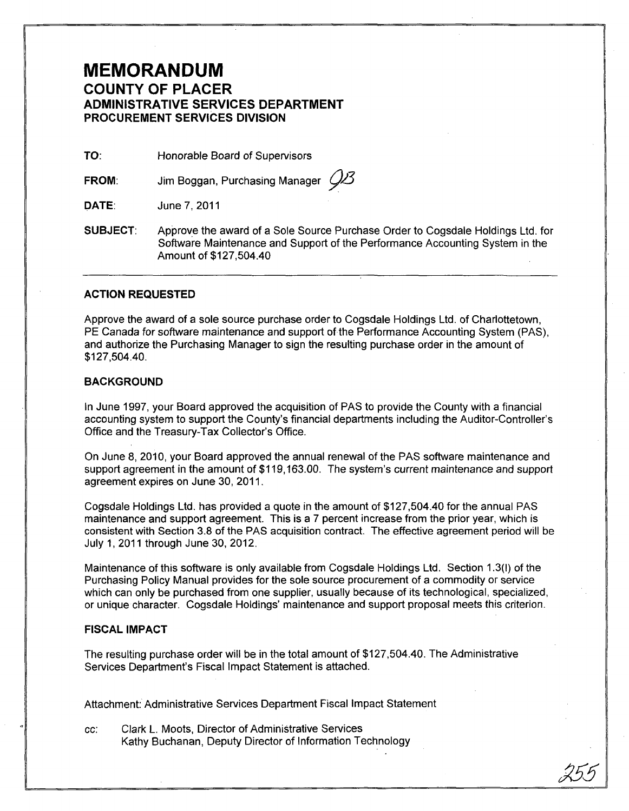# **MEMORANDUM COUNTY OF PLACER ADMINISTRATIVE SERVICES DEPARTMENT PROCUREMENT SERVICES DIVISION**

TO: Honorable Board of Supervisors

**FROM:**  Jim Boggan, Purchasing Manager *Q*<sup>2</sup>

**DATE:**  June 7,2011

**SUBJECT:**  Approve the award of a Sole Source Purchase Order to Cogsdale Holdings Ltd. for Software Maintenance and Support of the Performance Accounting System in the Amount of \$127,504.40

### **ACTION REQUESTED**

Approve the award of a sole source purchase order to Cogsdale Holdings Ltd. of Charlottetown, PE Canada for software maintenance and support of the Performance Accounting System (PAS), and authorize the Purchasing Manager to sign the resulting purchase order in the amount of \$127,504.40.

### **BACKGROUND**

In June 1997, your Board approved the acquisition of PAS to provide the County with a financial accounting system to support the County's financial departments including the Auditor-Controller's Office and the Treasury-Tax Collector's Office.

On June 8,2010, your Board approved the annual renewal of the PAS software maintenance and support agreement in the amount of \$119,163.00. The system's current maintenance and support agreement expires on June 30, 2011.

Cogsdale Holdings Ltd. has provided a quote in the amount of \$127,504.40 for the annual PAS maintenance and support agreement. This is a 7 percent increase from the prior year, which is consistent with Section 3.8 of the PAS acquisition contract. The effective agreement period will be July 1,2011 through June 30,2012.

Maintenance of this software is only available from Cogsdale Holdings Ltd. Section 1.3(1) of the Purchasing Policy Manual provides for the sole source procurement of a commodity or service which can only be purchased from one supplier, usually because of its technological, specialized, or unique character. Cogsdale Holdings' maintenance and support proposal meets this criterion.

## **FISCAL IMPACT**

The resulting purchase order will be in the total amount of \$127,504.40. The Administrative Services Department's Fiscal Impact Statement is attached.

Attachment: Administrative Services Department Fiscal Impact Statement

cc: Clark L. Moots, Director of Administrative Services Kathy Buchanan, Deputy Director of Information Technology